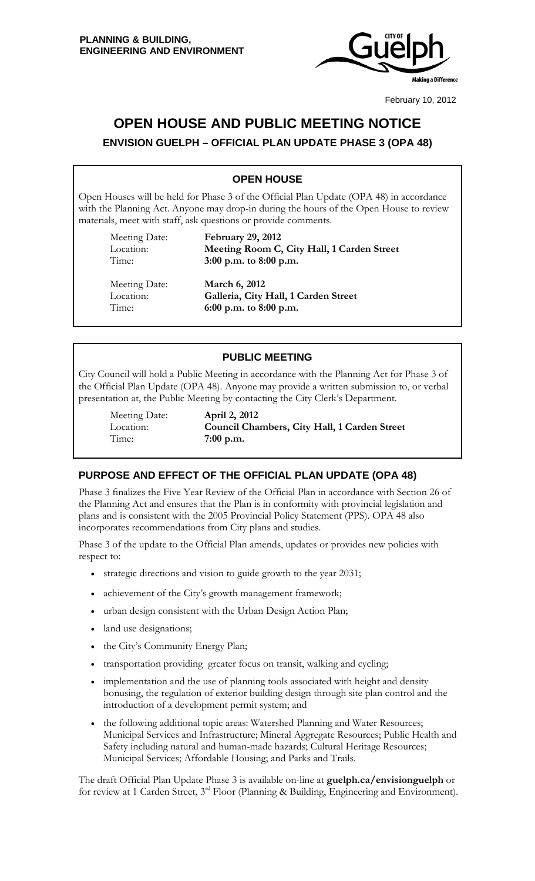

February 10, 2012

# **OPEN HOUSE AND PUBLIC MEETING NOTICE**

**ENVISION GUELPH – OFFICIAL PLAN UPDATE PHASE 3 (OPA 48)**

## **OPEN HOUSE**

Open Houses will be held for Phase 3 of the Official Plan Update (OPA 48) in accordance with the Planning Act. Anyone may drop-in during the hours of the Open House to review materials, meet with staff, ask questions or provide comments.

Meeting Date: **February 29, 2012** Location: **Meeting Room C, City Hall, 1 Carden Street**  Time: **3:00 p.m. to 8:00 p.m.**

Meeting Date: **March 6, 2012** Location: **Galleria, City Hall, 1 Carden Street**  Time: **6:00 p.m. to 8:00 p.m.**

## **PUBLIC MEETING**

City Council will hold a Public Meeting in accordance with the Planning Act for Phase 3 of the Official Plan Update (OPA 48). Anyone may provide a written submission to, or verbal presentation at, the Public Meeting by contacting the City Clerk's Department.

Meeting Date: **April 2, 2012**

Location: **Council Chambers, City Hall, 1 Carden Street**  Time: **7:00 p.m.**

## **PURPOSE AND EFFECT OF THE OFFICIAL PLAN UPDATE (OPA 48)**

Phase 3 finalizes the Five Year Review of the Official Plan in accordance with Section 26 of the Planning Act and ensures that the Plan is in conformity with provincial legislation and plans and is consistent with the 2005 Provincial Policy Statement (PPS). OPA 48 also incorporates recommendations from City plans and studies.

Phase 3 of the update to the Official Plan amends, updates or provides new policies with respect to:

- strategic directions and vision to guide growth to the year 2031;
- achievement of the City's growth management framework;
- urban design consistent with the Urban Design Action Plan;
- land use designations;
- the City's Community Energy Plan;
- transportation providing greater focus on transit, walking and cycling;
- implementation and the use of planning tools associated with height and density bonusing, the regulation of exterior building design through site plan control and the introduction of a development permit system; and
- the following additional topic areas: Watershed Planning and Water Resources; Municipal Services and Infrastructure; Mineral Aggregate Resources; Public Health and Safety including natural and human-made hazards; Cultural Heritage Resources; Municipal Services; Affordable Housing; and Parks and Trails.

The draft Official Plan Update Phase 3 is available on-line at **guelph.ca/envisionguelph** or for review at 1 Carden Street, 3<sup>rd</sup> Floor (Planning & Building, Engineering and Environment).